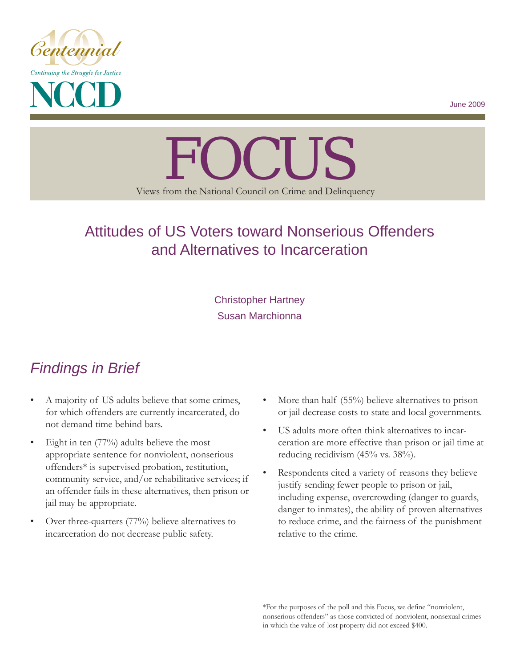

June 2009

# Views from the National Council on Crime and Delinquency FOCUS

# Attitudes of US Voters toward Nonserious Offenders and Alternatives to Incarceration

Christopher Hartney Susan Marchionna

# *Findings in Brief*

- A majority of US adults believe that some crimes, for which offenders are currently incarcerated, do not demand time behind bars.
- Eight in ten (77%) adults believe the most appropriate sentence for nonviolent, nonserious offenders\* is supervised probation, restitution, community service, and/or rehabilitative services; if an offender fails in these alternatives, then prison or jail may be appropriate.
- Over three-quarters (77%) believe alternatives to incarceration do not decrease public safety.
- More than half (55%) believe alternatives to prison or jail decrease costs to state and local governments.
- US adults more often think alternatives to incarceration are more effective than prison or jail time at reducing recidivism (45% vs. 38%).
- Respondents cited a variety of reasons they believe justify sending fewer people to prison or jail, including expense, overcrowding (danger to guards, danger to inmates), the ability of proven alternatives to reduce crime, and the fairness of the punishment relative to the crime.

\*For the purposes of the poll and this Focus, we define "nonviolent, nonserious offenders" as those convicted of nonviolent, nonsexual crimes in which the value of lost property did not exceed \$400.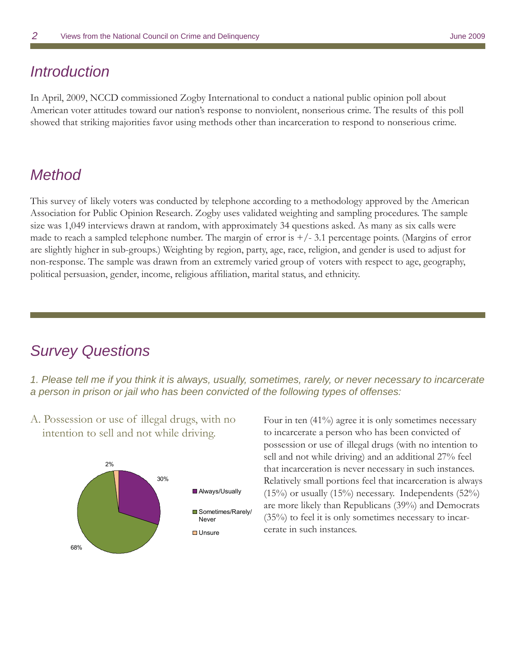## *Introduction*

In April, 2009, NCCD commissioned Zogby International to conduct a national public opinion poll about American voter attitudes toward our nation's response to nonviolent, nonserious crime. The results of this poll showed that striking majorities favor using methods other than incarceration to respond to nonserious crime.

## *Method*

This survey of likely voters was conducted by telephone according to a methodology approved by the American Association for Public Opinion Research. Zogby uses validated weighting and sampling procedures. The sample size was 1,049 interviews drawn at random, with approximately 34 questions asked. As many as six calls were made to reach a sampled telephone number. The margin of error is  $+/-3.1$  percentage points. (Margins of error are slightly higher in sub-groups.) Weighting by region, party, age, race, religion, and gender is used to adjust for non-response. The sample was drawn from an extremely varied group of voters with respect to age, geography, political persuasion, gender, income, religious affiliation, marital status, and ethnicity.

## *Survey Questions*

*1. Please tell me if you think it is always, usually, sometimes, rarely, or never necessary to incarcerate a person in prison or jail who has been convicted of the following types of offenses:* 

A. Possession or use of illegal drugs, with no intention to sell and not while driving.



Four in ten (41%) agree it is only sometimes necessary to incarcerate a person who has been convicted of possession or use of illegal drugs (with no intention to sell and not while driving) and an additional 27% feel that incarceration is never necessary in such instances. Relatively small portions feel that incarceration is always (15%) or usually (15%) necessary. Independents (52%) are more likely than Republicans (39%) and Democrats (35%) to feel it is only sometimes necessary to incarcerate in such instances.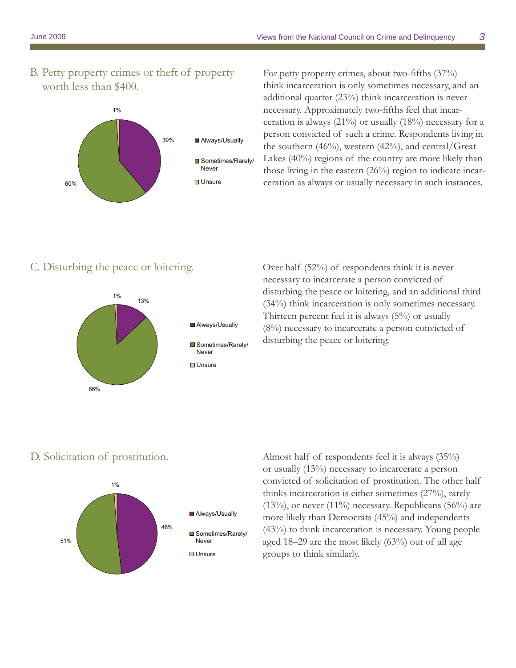B. Petty property crimes or theft of property worth less than \$400.



For petty property crimes, about two-fifths (37%) think incarceration is only sometimes necessary, and an additional quarter (23%) think incarceration is never necessary. Approximately two-fifths feel that incarceration is always  $(21\%)$  or usually  $(18\%)$  necessary for a person convicted of such a crime. Respondents living in the southern  $(46%)$ , western  $(42%)$ , and central/Great Lakes (40%) regions of the country are more likely than those living in the eastern (26%) region to indicate incarceration as always or usually necessary in such instances.

#### C. Disturbing the peace or loitering.



Over half (52%) of respondents think it is never necessary to incarcerate a person convicted of disturbing the peace or loitering, and an additional third (34%) think incarceration is only sometimes necessary. Thirteen percent feel it is always (5%) or usually (8%) necessary to incarcerate a person convicted of disturbing the peace or loitering.

#### D. Solicitation of prostitution.



Almost half of respondents feel it is always (35%) or usually (13%) necessary to incarcerate a person convicted of solicitation of prostitution. The other half thinks incarceration is either sometimes (27%), rarely  $(13\%)$ , or never  $(11\%)$  necessary. Republicans  $(56\%)$  are more likely than Democrats (45%) and independents (43%) to think incarceration is necessary. Young people aged 18–29 are the most likely (63%) out of all age groups to think similarly.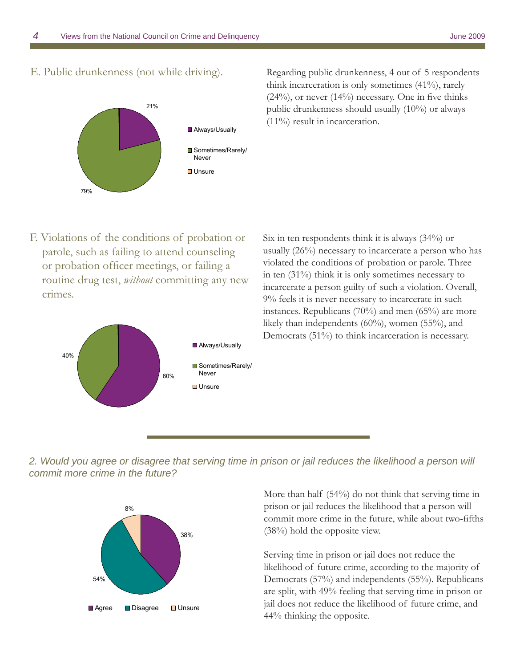21%

**Always/Usually** 

**■** Sometimes/Rarely/ Never **□** Unsure



79%



F. Violations of the conditions of probation or parole, such as failing to attend counseling or probation officer meetings, or failing a routine drug test, *without* committing any new crimes.



Six in ten respondents think it is always (34%) or usually (26%) necessary to incarcerate a person who has violated the conditions of probation or parole. Three in ten (31%) think it is only sometimes necessary to incarcerate a person guilty of such a violation. Overall, 9% feels it is never necessary to incarcerate in such instances. Republicans  $(70\%)$  and men  $(65\%)$  are more likely than independents (60%), women (55%), and Democrats (51%) to think incarceration is necessary.

2. Would you agree or disagree that serving time in prison or jail reduces the likelihood a person will *commit more crime in the future?*



More than half (54%) do not think that serving time in prison or jail reduces the likelihood that a person will commit more crime in the future, while about two-fifths (38%) hold the opposite view.

Serving time in prison or jail does not reduce the likelihood of future crime, according to the majority of Democrats (57%) and independents (55%). Republicans are split, with 49% feeling that serving time in prison or jail does not reduce the likelihood of future crime, and 44% thinking the opposite.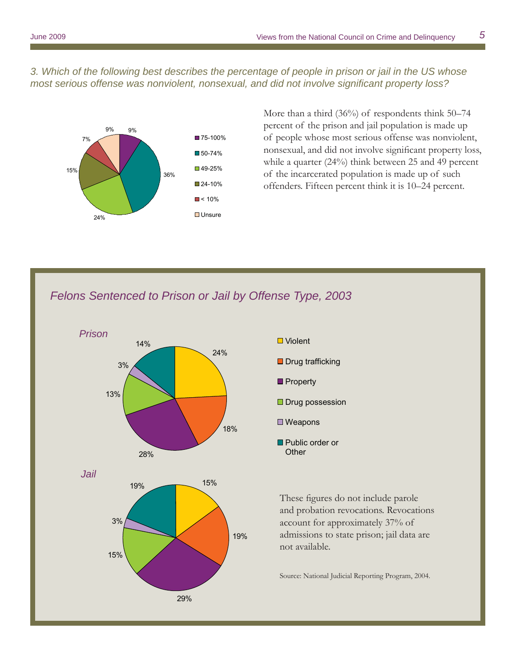*3. Which of the following best describes the percentage of people in prison or jail in the US whose most serious offense was nonviolent, nonsexual, and did not involve significant property loss?* 



More than a third (36%) of respondents think 50–74 percent of the prison and jail population is made up of people whose most serious offense was nonviolent, nonsexual, and did not involve significant property loss, while a quarter (24%) think between 25 and 49 percent of the incarcerated population is made up of such offenders. Fifteen percent think it is 10–24 percent.

### *Felons Sentenced to Prison or Jail by Offense Type, 2003*





**Other** 

These figures do not include parole and probation revocations. Revocations account for approximately 37% of admissions to state prison; jail data are not available.

Source: National Judicial Reporting Program, 2004.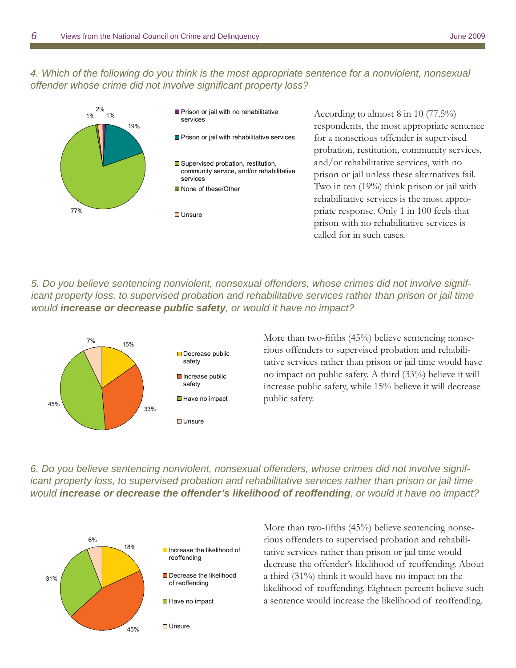*4. Which of the following do you think is the most appropriate sentence for a nonviolent, nonsexual offender whose crime did not involve significant property loss?* 



*5. Do you believe sentencing nonviolent, nonsexual offenders, whose crimes did not involve significant property loss, to supervised probation and rehabilitative services rather than prison or jail time would increase or decrease public safety, or would it have no impact?*



More than two-fifths (45%) believe sentencing nonserious offenders to supervised probation and rehabilitative services rather than prison or jail time would have no impact on public safety. A third (33%) believe it will increase public safety, while 15% believe it will decrease public safety.

*6. Do you believe sentencing nonviolent, nonsexual offenders, whose crimes did not involve significant property loss, to supervised probation and rehabilitative services rather than prison or jail time would increase or decrease the offender's likelihood of reoffending, or would it have no impact?*



More than two-fifths (45%) believe sentencing nonserious offenders to supervised probation and rehabilitative services rather than prison or jail time would decrease the offender's likelihood of reoffending. About a third (31%) think it would have no impact on the likelihood of reoffending. Eighteen percent believe such a sentence would increase the likelihood of reoffending.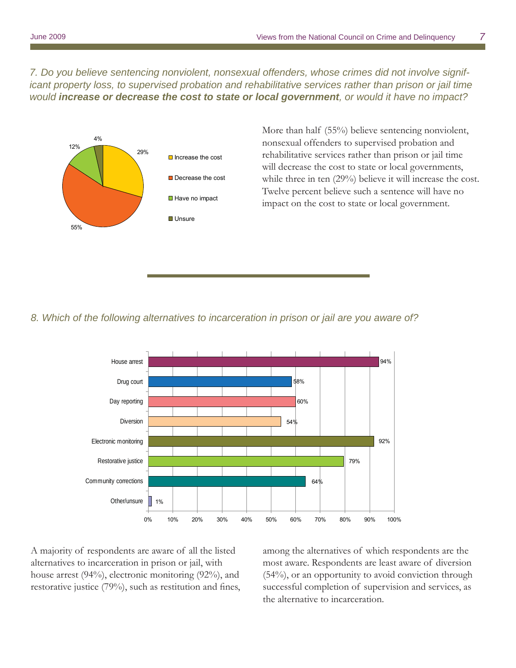*7. Do you believe sentencing nonviolent, nonsexual offenders, whose crimes did not involve significant property loss, to supervised probation and rehabilitative services rather than prison or jail time would increase or decrease the cost to state or local government, or would it have no impact?*



More than half (55%) believe sentencing nonviolent, nonsexual offenders to supervised probation and rehabilitative services rather than prison or jail time will decrease the cost to state or local governments, while three in ten (29%) believe it will increase the cost. Twelve percent believe such a sentence will have no impact on the cost to state or local government.

#### *8. Which of the following alternatives to incarceration in prison or jail are you aware of?*



A majority of respondents are aware of all the listed alternatives to incarceration in prison or jail, with house arrest (94%), electronic monitoring (92%), and restorative justice  $(79%)$ , such as restitution and fines, among the alternatives of which respondents are the most aware. Respondents are least aware of diversion (54%), or an opportunity to avoid conviction through successful completion of supervision and services, as the alternative to incarceration.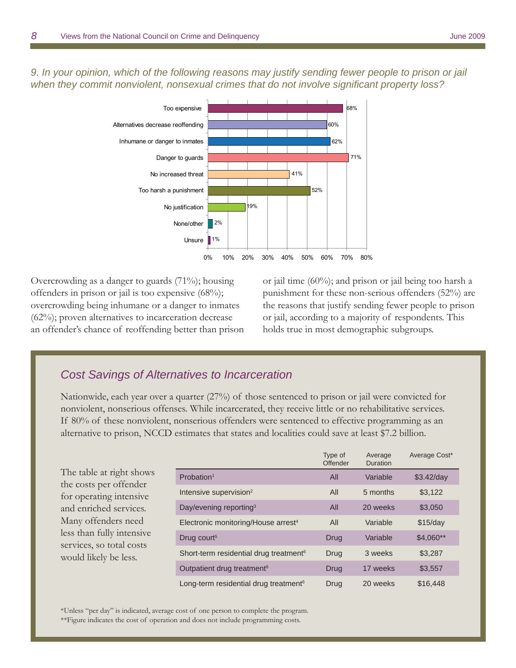*9. In your opinion, which of the following reasons may justify sending fewer people to prison or jail*  when they commit nonviolent, nonsexual crimes that do not involve significant property loss?



Overcrowding as a danger to guards (71%); housing offenders in prison or jail is too expensive (68%); overcrowding being inhumane or a danger to inmates (62%); proven alternatives to incarceration decrease an offender's chance of reoffending better than prison

or jail time (60%); and prison or jail being too harsh a punishment for these non-serious offenders (52%) are the reasons that justify sending fewer people to prison or jail, according to a majority of respondents. This holds true in most demographic subgroups.

#### *Cost Savings of Alternatives to Incarceration*

Nationwide, each year over a quarter (27%) of those sentenced to prison or jail were convicted for nonviolent, nonserious offenses. While incarcerated, they receive little or no rehabilitative services. If 80% of these nonviolent, nonserious offenders were sentenced to effective programming as an alternative to prison, NCCD estimates that states and localities could save at least \$7.2 billion.

The table at right shows the costs per offender for operating intensive and enriched services. Many offenders need less than fully intensive services, so total costs would likely be less.

|                                                    | Type of<br>Offender | Average<br><b>Duration</b> | Average Cost* |
|----------------------------------------------------|---------------------|----------------------------|---------------|
| Probation <sup>1</sup>                             | All                 | Variable                   | $$3.42$ /day  |
| Intensive supervision <sup>2</sup>                 | All                 | 5 months                   | \$3,122       |
| Day/evening reporting <sup>3</sup>                 | All                 | 20 weeks                   | \$3,050       |
| Electronic monitoring/House arrest <sup>4</sup>    | All                 | Variable                   | \$15/day      |
| Drug court <sup>5</sup>                            | Drug                | Variable                   | $$4,060**$    |
| Short-term residential drug treatment <sup>6</sup> | Drug                | 3 weeks                    | \$3,287       |
| Outpatient drug treatment <sup>6</sup>             | Drug                | 17 weeks                   | \$3,557       |
| Long-term residential drug treatment <sup>6</sup>  | Drug                | 20 weeks                   | \$16,448      |

\*Unless "per day" is indicated, average cost of one person to complete the program.

\*\*Figure indicates the cost of operation and does not include programming costs.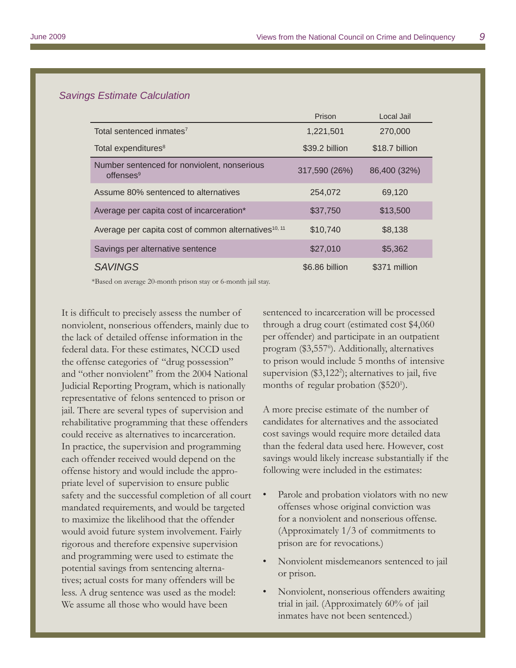#### *Savings Estimate Calculation*

|                                                                      | Prison         | Local Jail     |
|----------------------------------------------------------------------|----------------|----------------|
| Total sentenced inmates <sup>7</sup>                                 | 1,221,501      | 270,000        |
| Total expenditures <sup>8</sup>                                      | \$39.2 billion | \$18.7 billion |
| Number sentenced for nonviolent, nonserious<br>offenses <sup>9</sup> | 317,590 (26%)  | 86,400 (32%)   |
| Assume 80% sentenced to alternatives                                 | 254,072        | 69,120         |
| Average per capita cost of incarceration*                            | \$37,750       | \$13,500       |
| Average per capita cost of common alternatives <sup>10, 11</sup>     | \$10,740       | \$8,138        |
| Savings per alternative sentence                                     | \$27,010       | \$5,362        |
| <b>SAVINGS</b>                                                       | \$6.86 billion | \$371 million  |

\*Based on average 20-month prison stay or 6-month jail stay.

It is difficult to precisely assess the number of nonviolent, nonserious offenders, mainly due to the lack of detailed offense information in the federal data. For these estimates, NCCD used the offense categories of "drug possession" and "other nonviolent" from the 2004 National Judicial Reporting Program, which is nationally representative of felons sentenced to prison or jail. There are several types of supervision and rehabilitative programming that these offenders could receive as alternatives to incarceration. In practice, the supervision and programming each offender received would depend on the offense history and would include the appropriate level of supervision to ensure public safety and the successful completion of all court mandated requirements, and would be targeted to maximize the likelihood that the offender would avoid future system involvement. Fairly rigorous and therefore expensive supervision and programming were used to estimate the potential savings from sentencing alternatives; actual costs for many offenders will be less. A drug sentence was used as the model: We assume all those who would have been

sentenced to incarceration will be processed through a drug court (estimated cost \$4,060 per offender) and participate in an outpatient program (\$3,557<sup>6</sup>). Additionally, alternatives to prison would include 5 months of intensive supervision  $(\$3,122^2)$ ; alternatives to jail, five months of regular probation (\$520<sup>1</sup>).

A more precise estimate of the number of candidates for alternatives and the associated cost savings would require more detailed data than the federal data used here. However, cost savings would likely increase substantially if the following were included in the estimates:

- Parole and probation violators with no new offenses whose original conviction was for a nonviolent and nonserious offense. (Approximately 1/3 of commitments to prison are for revocations.)
- Nonviolent misdemeanors sentenced to jail or prison.
- Nonviolent, nonserious offenders awaiting trial in jail. (Approximately 60% of jail inmates have not been sentenced.)